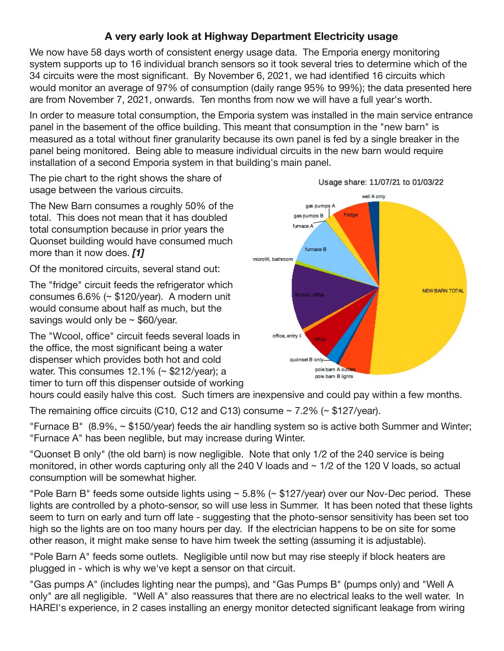## **A very early look at Highway Department Electricity usage**

We now have 58 days worth of consistent energy usage data. The Emporia energy monitoring system supports up to 16 individual branch sensors so it took several tries to determine which of the 34 circuits were the most significant. By November 6, 2021, we had identified 16 circuits which would monitor an average of 97% of consumption (daily range 95% to 99%); the data presented here are from November 7, 2021, onwards. Ten months from now we will have a full year's worth.

In order to measure total consumption, the Emporia system was installed in the main service entrance panel in the basement of the office building. This meant that consumption in the "new barn" is measured as a total without finer granularity because its own panel is fed by a single breaker in the panel being monitored. Being able to measure individual circuits in the new barn would require installation of a second Emporia system in that building's main panel.

The pie chart to the right shows the share of usage between the various circuits.

The New Barn consumes a roughly 50% of the total. This does not mean that it has doubled total consumption because in prior years the Quonset building would have consumed much more than it now does. *[1]*

Of the monitored circuits, several stand out:

The "fridge" circuit feeds the refrigerator which consumes 6.6% (~ \$120/year). A modern unit would consume about half as much, but the savings would only be  $\sim$  \$60/year.

The "Wcool, office" circuit feeds several loads in the office, the most significant being a water dispenser which provides both hot and cold water. This consumes 12.1% (~ \$212/year); a timer to turn off this dispenser outside of working



hours could easily halve this cost. Such timers are inexpensive and could pay within a few months.

The remaining office circuits (C10, C12 and C13) consume  $\sim$  7.2% ( $\sim$  \$127/year).

"Furnace B" (8.9%, ~ \$150/year) feeds the air handling system so is active both Summer and Winter; "Furnace A" has been neglible, but may increase during Winter.

"Quonset B only" (the old barn) is now negligible. Note that only 1/2 of the 240 service is being monitored, in other words capturing only all the 240 V loads and  $\sim$  1/2 of the 120 V loads, so actual consumption will be somewhat higher.

"Pole Barn B" feeds some outside lights using ~ 5.8% (~ \$127/year) over our Nov-Dec period. These lights are controlled by a photo-sensor, so will use less in Summer. It has been noted that these lights seem to turn on early and turn off late - suggesting that the photo-sensor sensitivity has been set too high so the lights are on too many hours per day. If the electrician happens to be on site for some other reason, it might make sense to have him tweek the setting (assuming it is adjustable).

"Pole Barn A" feeds some outlets. Negligible until now but may rise steeply if block heaters are plugged in - which is why we've kept a sensor on that circuit.

"Gas pumps A" (includes lighting near the pumps), and "Gas Pumps B" (pumps only) and "Well A only" are all negligible. "Well A" also reassures that there are no electrical leaks to the well water. In HAREI's experience, in 2 cases installing an energy monitor detected significant leakage from wiring